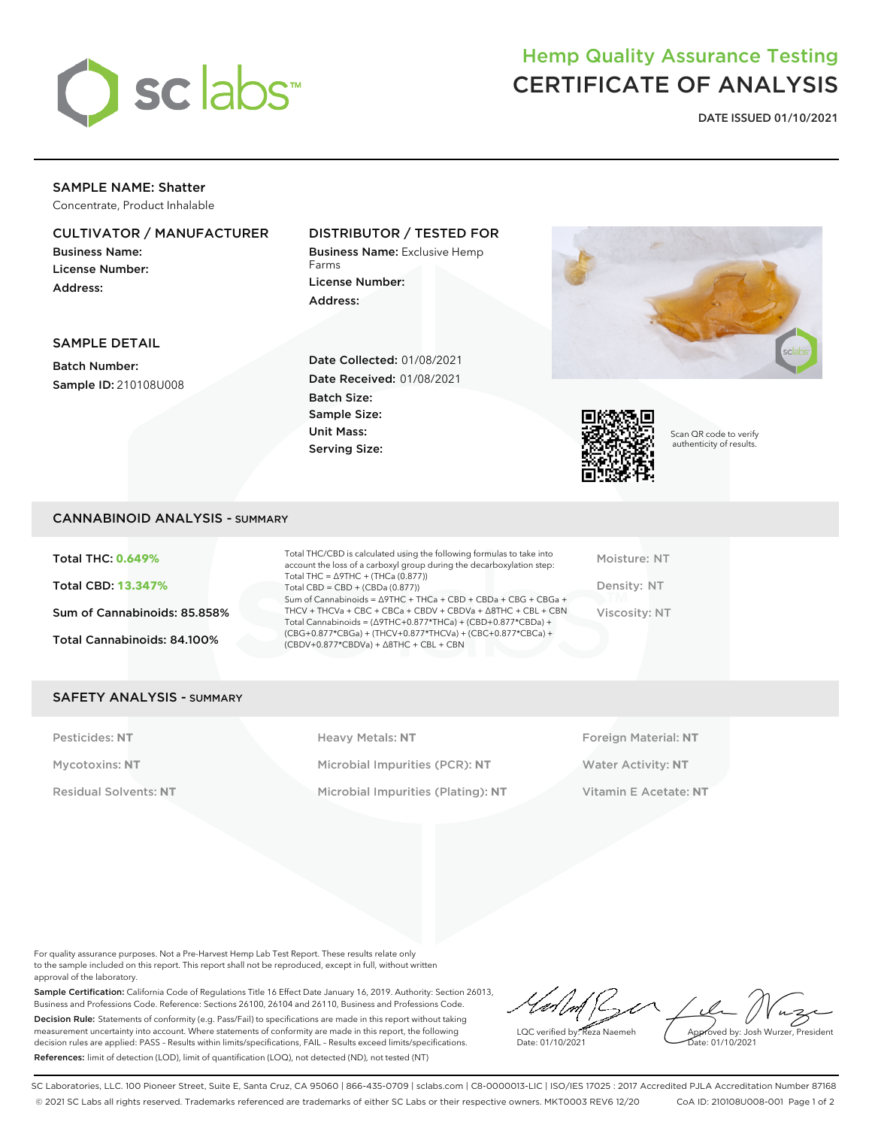

## Hemp Quality Assurance Testing CERTIFICATE OF ANALYSIS

**DATE ISSUED 01/10/2021**

## SAMPLE NAME: Shatter

Concentrate, Product Inhalable

## CULTIVATOR / MANUFACTURER

Business Name: License Number: Address:

## DISTRIBUTOR / TESTED FOR

Business Name: Exclusive Hemp Farms License Number: Address:



Scan QR code to verify authenticity of results.

### SAMPLE DETAIL

Batch Number: Sample ID: 210108U008 Date Collected: 01/08/2021 Date Received: 01/08/2021 Batch Size: Sample Size: Unit Mass: Serving Size:

## CANNABINOID ANALYSIS - SUMMARY

Total THC: **0.649%** Total CBD: **13.347%** Sum of Cannabinoids: 85.858% Total Cannabinoids: 84.100%

Total THC/CBD is calculated using the following formulas to take into account the loss of a carboxyl group during the decarboxylation step: Total THC = ∆9THC + (THCa (0.877)) Total CBD = CBD + (CBDa (0.877)) Sum of Cannabinoids = ∆9THC + THCa + CBD + CBDa + CBG + CBGa + THCV + THCVa + CBC + CBCa + CBDV + CBDVa + ∆8THC + CBL + CBN Total Cannabinoids = (∆9THC+0.877\*THCa) + (CBD+0.877\*CBDa) + (CBG+0.877\*CBGa) + (THCV+0.877\*THCVa) + (CBC+0.877\*CBCa) + (CBDV+0.877\*CBDVa) + ∆8THC + CBL + CBN

Moisture: NT Density: NT Viscosity: NT

## SAFETY ANALYSIS - SUMMARY

Pesticides: NT **All Accords** Heavy Metals: NT **Foreign Material: NT** Pesticides: NT Mycotoxins: **NT** Microbial Impurities (PCR): **NT** Water Activity: **NT** Residual Solvents: **NT** Microbial Impurities (Plating): **NT** Vitamin E Acetate: **NT**

For quality assurance purposes. Not a Pre-Harvest Hemp Lab Test Report. These results relate only to the sample included on this report. This report shall not be reproduced, except in full, without written approval of the laboratory.

Sample Certification: California Code of Regulations Title 16 Effect Date January 16, 2019. Authority: Section 26013, Business and Professions Code. Reference: Sections 26100, 26104 and 26110, Business and Professions Code. Decision Rule: Statements of conformity (e.g. Pass/Fail) to specifications are made in this report without taking measurement uncertainty into account. Where statements of conformity are made in this report, the following decision rules are applied: PASS – Results within limits/specifications, FAIL – Results exceed limits/specifications. References: limit of detection (LOD), limit of quantification (LOQ), not detected (ND), not tested (NT)

LQC verified by: Reza Naemeh Date: 01/10/2021 Approved by: Josh Wurzer, President Date: 01/10/2021

SC Laboratories, LLC. 100 Pioneer Street, Suite E, Santa Cruz, CA 95060 | 866-435-0709 | sclabs.com | C8-0000013-LIC | ISO/IES 17025 : 2017 Accredited PJLA Accreditation Number 87168 © 2021 SC Labs all rights reserved. Trademarks referenced are trademarks of either SC Labs or their respective owners. MKT0003 REV6 12/20 CoA ID: 210108U008-001 Page 1 of 2